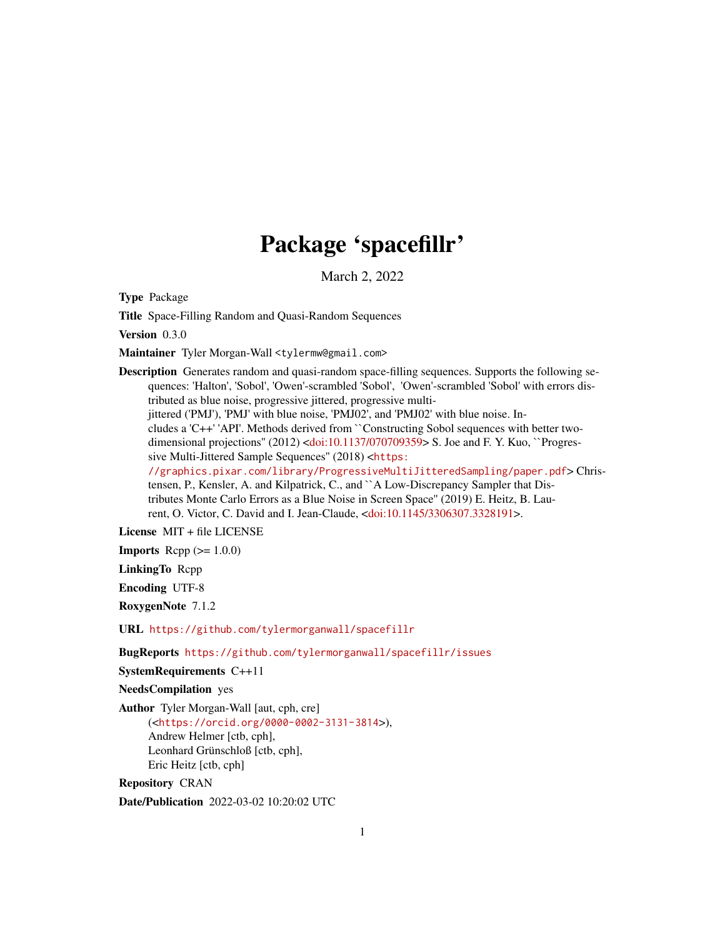## Package 'spacefillr'

March 2, 2022

Type Package

Title Space-Filling Random and Quasi-Random Sequences

Version 0.3.0

Maintainer Tyler Morgan-Wall <tylermw@gmail.com>

Description Generates random and quasi-random space-filling sequences. Supports the following sequences: 'Halton', 'Sobol', 'Owen'-scrambled 'Sobol', 'Owen'-scrambled 'Sobol' with errors distributed as blue noise, progressive jittered, progressive multijittered ('PMJ'), 'PMJ' with blue noise, 'PMJ02', and 'PMJ02' with blue noise. Includes a 'C++' 'API'. Methods derived from ``Constructing Sobol sequences with better twodimensional projections'' (2012) [<doi:10.1137/070709359>](https://doi.org/10.1137/070709359) S. Joe and F. Y. Kuo, ``Progressive Multi-Jittered Sample Sequences'' (2018) <[https:](https://graphics.pixar.com/library/ProgressiveMultiJitteredSampling/paper.pdf) [//graphics.pixar.com/library/ProgressiveMultiJitteredSampling/paper.pdf](https://graphics.pixar.com/library/ProgressiveMultiJitteredSampling/paper.pdf)> Christensen, P., Kensler, A. and Kilpatrick, C., and ``A Low-Discrepancy Sampler that Distributes Monte Carlo Errors as a Blue Noise in Screen Space'' (2019) E. Heitz, B. Laurent, O. Victor, C. David and I. Jean-Claude, [<doi:10.1145/3306307.3328191>](https://doi.org/10.1145/3306307.3328191).

License MIT + file LICENSE

**Imports** Rcpp  $(>= 1.0.0)$ 

LinkingTo Rcpp

Encoding UTF-8

RoxygenNote 7.1.2

URL <https://github.com/tylermorganwall/spacefillr>

BugReports <https://github.com/tylermorganwall/spacefillr/issues>

SystemRequirements C++11

NeedsCompilation yes

Author Tyler Morgan-Wall [aut, cph, cre] (<<https://orcid.org/0000-0002-3131-3814>>), Andrew Helmer [ctb, cph], Leonhard Grünschloß [ctb, cph], Eric Heitz [ctb, cph]

Repository CRAN

Date/Publication 2022-03-02 10:20:02 UTC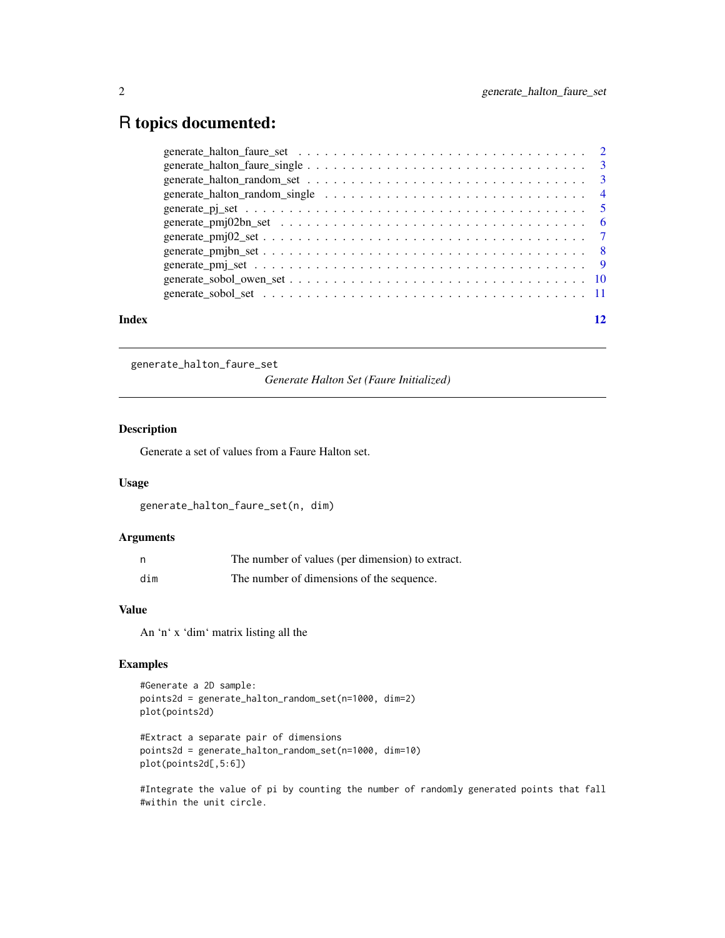## <span id="page-1-0"></span>R topics documented:

| Index |  |
|-------|--|
|       |  |
|       |  |
|       |  |
|       |  |
|       |  |
|       |  |
|       |  |
|       |  |
|       |  |
|       |  |
|       |  |

generate\_halton\_faure\_set

*Generate Halton Set (Faure Initialized)*

## Description

Generate a set of values from a Faure Halton set.

## Usage

generate\_halton\_faure\_set(n, dim)

## Arguments

| - n | The number of values (per dimension) to extract. |
|-----|--------------------------------------------------|
| dim | The number of dimensions of the sequence.        |

## Value

An 'n' x 'dim' matrix listing all the

## Examples

```
#Generate a 2D sample:
points2d = generate_halton_random_set(n=1000, dim=2)
plot(points2d)
```

```
#Extract a separate pair of dimensions
points2d = generate_halton_random_set(n=1000, dim=10)
plot(points2d[,5:6])
```
#Integrate the value of pi by counting the number of randomly generated points that fall #within the unit circle.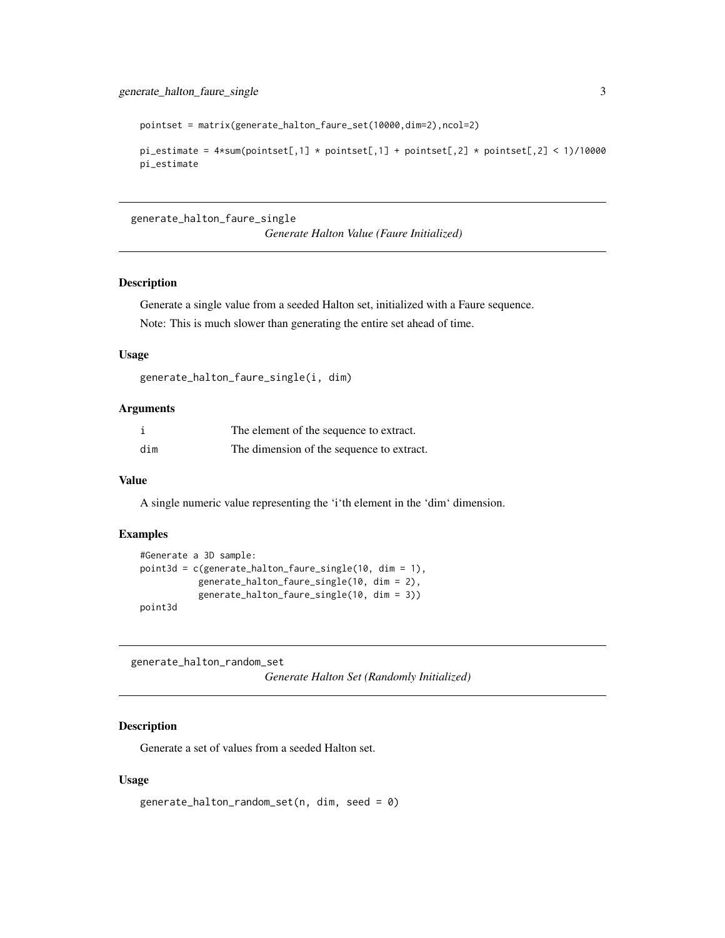<span id="page-2-0"></span>pointset = matrix(generate\_halton\_faure\_set(10000,dim=2),ncol=2)

```
pi_estimate = 4*sum(pointset[, 1] * pointsset[, 1] + pointset[, 2] * pointset[, 2] < 1/10000
pi_estimate
```
generate\_halton\_faure\_single

*Generate Halton Value (Faure Initialized)*

## Description

Generate a single value from a seeded Halton set, initialized with a Faure sequence.

Note: This is much slower than generating the entire set ahead of time.

#### Usage

```
generate_halton_faure_single(i, dim)
```
## Arguments

|     | The element of the sequence to extract.   |
|-----|-------------------------------------------|
| dim | The dimension of the sequence to extract. |

#### Value

A single numeric value representing the 'i'th element in the 'dim' dimension.

## Examples

```
#Generate a 3D sample:
point3d = c(generate_halton_faure_single(10, dim = 1),
           generate_halton_faure_single(10, dim = 2),
           generate_halton_faure_single(10, dim = 3))
point3d
```
generate\_halton\_random\_set

*Generate Halton Set (Randomly Initialized)*

## Description

Generate a set of values from a seeded Halton set.

#### Usage

```
generate_halton_random_set(n, dim, seed = 0)
```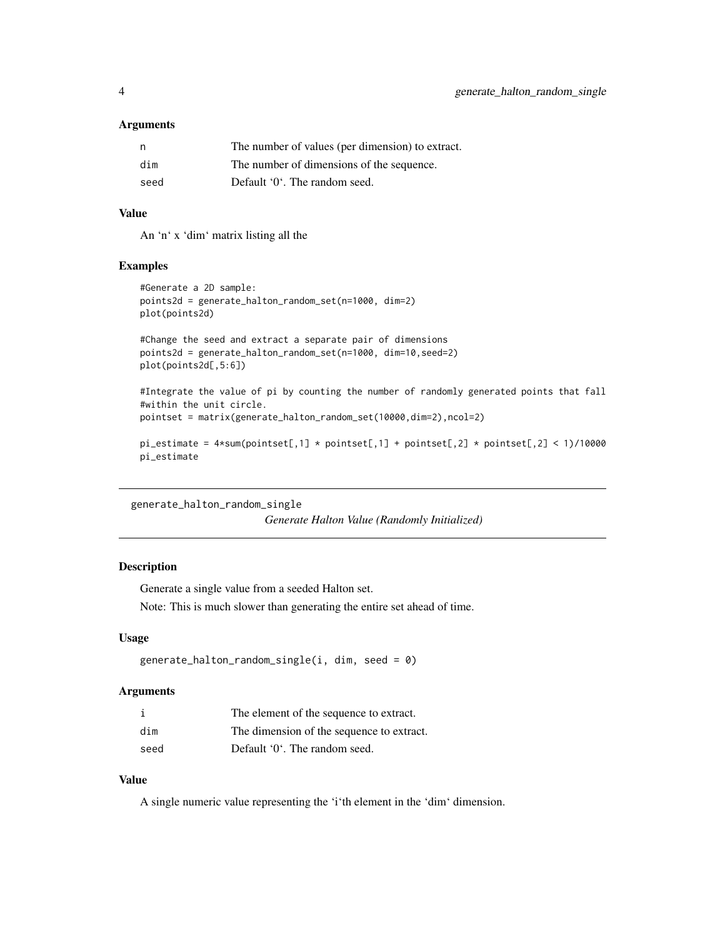#### <span id="page-3-0"></span>**Arguments**

| n,   | The number of values (per dimension) to extract. |
|------|--------------------------------------------------|
| dim  | The number of dimensions of the sequence.        |
| seed | Default '0'. The random seed.                    |

#### Value

An 'n' x 'dim' matrix listing all the

## Examples

```
#Generate a 2D sample:
points2d = generate_halton_random_set(n=1000, dim=2)
plot(points2d)
```

```
#Change the seed and extract a separate pair of dimensions
points2d = generate_halton_random_set(n=1000, dim=10,seed=2)
plot(points2d[,5:6])
```

```
#Integrate the value of pi by counting the number of randomly generated points that fall
#within the unit circle.
pointset = matrix(generate_halton_random_set(10000,dim=2),ncol=2)
```

```
pi_estimate = 4*sum(pointset[, 1] * pointsset[, 1] + pointset[, 2] * pointset[, 2] < 1)/10000pi_estimate
```

```
generate_halton_random_single
```
*Generate Halton Value (Randomly Initialized)*

## Description

Generate a single value from a seeded Halton set.

Note: This is much slower than generating the entire set ahead of time.

## Usage

```
generate_halton_random_single(i, dim, seed = 0)
```
#### Arguments

|      | The element of the sequence to extract.   |
|------|-------------------------------------------|
| dim  | The dimension of the sequence to extract. |
| seed | Default '0'. The random seed.             |

## Value

A single numeric value representing the 'i'th element in the 'dim' dimension.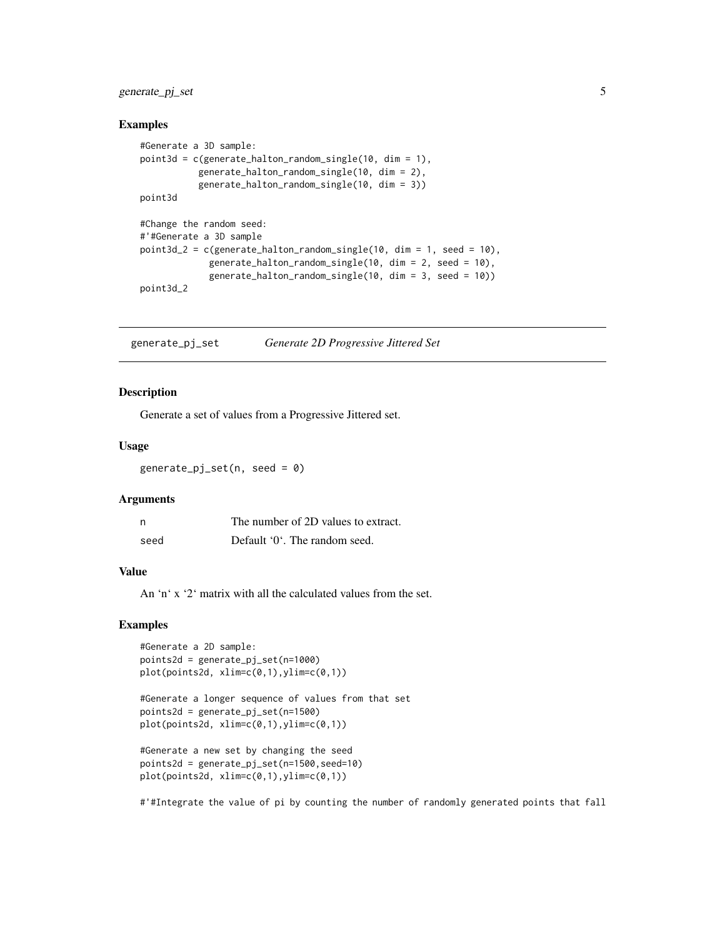## <span id="page-4-0"></span>generate\_pj\_set 5

#### Examples

```
#Generate a 3D sample:
point3d = c(generate_halton_random_single(10, dim = 1),
           generate_halton_random_single(10, dim = 2),
           generate_halton_random_single(10, dim = 3))
point3d
#Change the random seed:
#'#Generate a 3D sample
point3d_2 = c(generate_halton_random_single(10, dim = 1, seed = 10),generate_halton_random_single(10, dim = 2, seed = 10),
             generate_halton_random_single(10, dim = 3, seed = 10))
point3d_2
```
generate\_pj\_set *Generate 2D Progressive Jittered Set*

#### Description

Generate a set of values from a Progressive Jittered set.

## Usage

 $generate_pj_set(n, seed = 0)$ 

#### Arguments

| - n  | The number of 2D values to extract. |
|------|-------------------------------------|
| seed | Default '0'. The random seed.       |

#### Value

An 'n' x '2' matrix with all the calculated values from the set.

## Examples

```
#Generate a 2D sample:
points2d = generate_pj_set(n=1000)
plot(points2d, xlim=c(0,1),ylim=c(0,1))
```

```
#Generate a longer sequence of values from that set
points2d = generate_pj_set(n=1500)
plot(points2d, xlim=c(0,1),ylim=c(0,1))
```

```
#Generate a new set by changing the seed
points2d = generate_pj_set(n=1500,seed=10)
plot(points2d, xlim=c(0,1),ylim=c(0,1))
```
#'#Integrate the value of pi by counting the number of randomly generated points that fall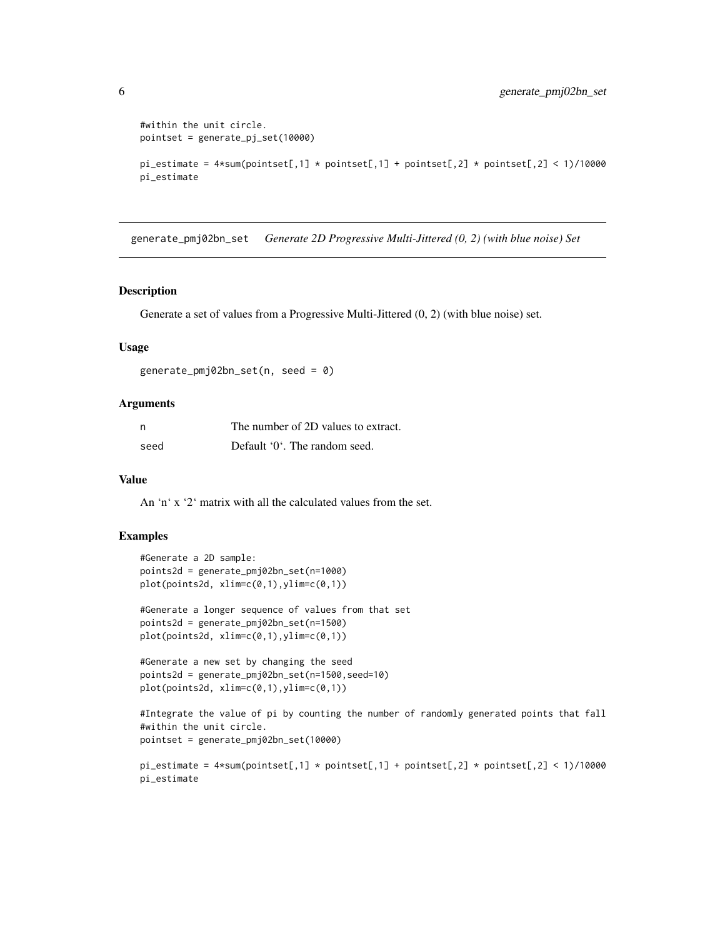```
#within the unit circle.
pointset = generate_pj_set(10000)
pi_estimate = 4*sum(pointset[, 1] * pointsset[, 1] + pointset[, 2] * pointset[, 2] < 1)/10000pi_estimate
```
generate\_pmj02bn\_set *Generate 2D Progressive Multi-Jittered (0, 2) (with blue noise) Set*

#### Description

Generate a set of values from a Progressive Multi-Jittered (0, 2) (with blue noise) set.

### Usage

```
generate_pmj02bn_set(n, seed = 0)
```
## Arguments

| n    | The number of 2D values to extract. |
|------|-------------------------------------|
| seed | Default '0'. The random seed.       |

#### Value

An 'n' x '2' matrix with all the calculated values from the set.

```
#Generate a 2D sample:
points2d = generate_pmj02bn_set(n=1000)
plot(points2d, xlim=c(0,1),ylim=c(0,1))
#Generate a longer sequence of values from that set
```

```
points2d = generate_pmj02bn_set(n=1500)
plot(points2d, xlim=c(0,1),ylim=c(0,1))
```

```
#Generate a new set by changing the seed
points2d = generate_pmj02bn_set(n=1500,seed=10)
plot(points2d, xlim=c(0,1),ylim=c(0,1))
```

```
#Integrate the value of pi by counting the number of randomly generated points that fall
#within the unit circle.
pointset = generate_pmj02bn_set(10000)
```

```
pi_estimate = 4*sum(pointset[,1] * pointset[,1] + pointset[,2] * pointset[,2] * pointset[,3]pi_estimate
```
<span id="page-5-0"></span>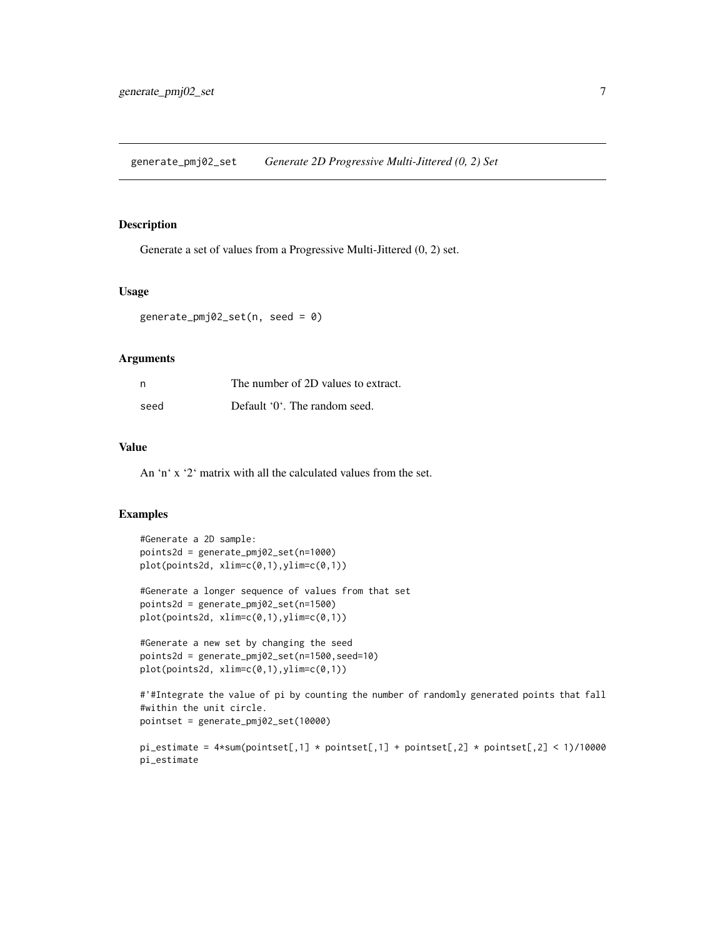<span id="page-6-0"></span>generate\_pmj02\_set *Generate 2D Progressive Multi-Jittered (0, 2) Set*

#### Description

Generate a set of values from a Progressive Multi-Jittered (0, 2) set.

#### Usage

```
generate_pmj02_set(n, seed = 0)
```
## Arguments

| n    | The number of 2D values to extract. |
|------|-------------------------------------|
| seed | Default '0'. The random seed.       |

#### Value

An 'n' x '2' matrix with all the calculated values from the set.

```
#Generate a 2D sample:
points2d = generate_pmj02_set(n=1000)
plot(points2d, xlim=c(0,1),ylim=c(0,1))
#Generate a longer sequence of values from that set
points2d = generate_pmj02_set(n=1500)
plot(points2d, xlim=c(0,1),ylim=c(0,1))
#Generate a new set by changing the seed
points2d = generate_pmj02_set(n=1500,seed=10)
plot(points2d, xlim=c(0,1),ylim=c(0,1))
#'#Integrate the value of pi by counting the number of randomly generated points that fall
#within the unit circle.
pointset = generate_pmj02_set(10000)
```

```
pi_estimate = 4*sum(pointset[,1] * pointset[,1] + pointset[,2] * pointset[,2] * pointset[,3]pi_estimate
```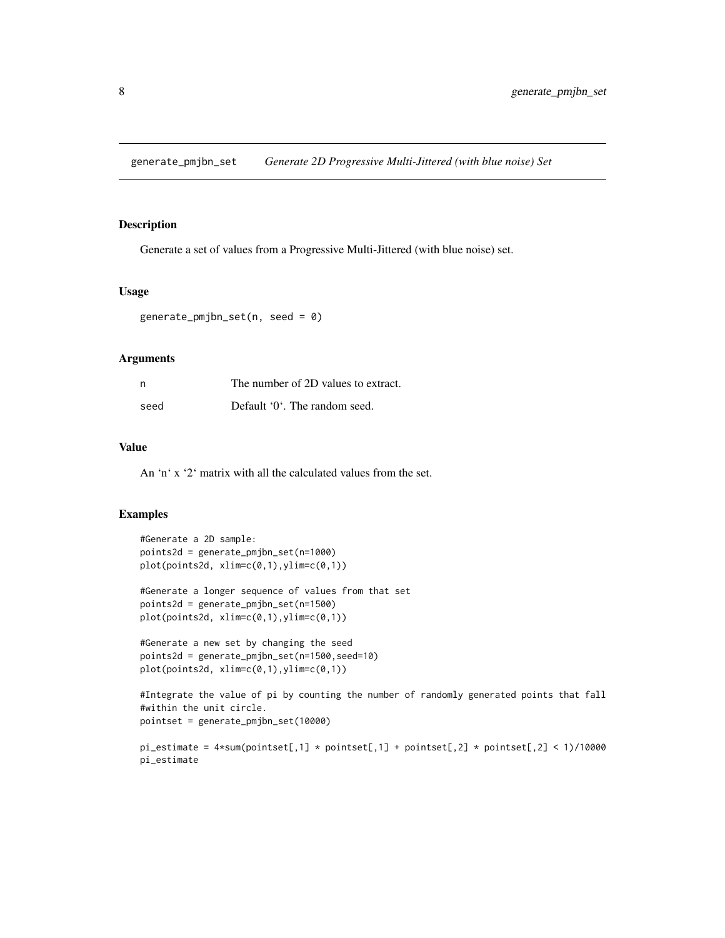<span id="page-7-0"></span>generate\_pmjbn\_set *Generate 2D Progressive Multi-Jittered (with blue noise) Set*

#### Description

Generate a set of values from a Progressive Multi-Jittered (with blue noise) set.

#### Usage

```
generate_pmjbn_set(n, seed = 0)
```
## Arguments

| n    | The number of 2D values to extract. |
|------|-------------------------------------|
| seed | Default '0'. The random seed.       |

#### Value

An 'n' x '2' matrix with all the calculated values from the set.

## Examples

pi\_estimate

```
#Generate a 2D sample:
points2d = generate_pmjbn_set(n=1000)
plot(points2d, xlim=c(0,1),ylim=c(0,1))
#Generate a longer sequence of values from that set
points2d = generate_pmjbn_set(n=1500)
plot(points2d, xlim=c(0,1),ylim=c(0,1))
#Generate a new set by changing the seed
points2d = generate_pmjbn_set(n=1500,seed=10)
plot(points2d, xlim=c(0,1),ylim=c(0,1))
#Integrate the value of pi by counting the number of randomly generated points that fall
#within the unit circle.
pointset = generate_pmjbn_set(10000)
pi_estimate = 4*sum(pointset[,1] * pointset[,1] + pointset[,2] * pointset[,2] * pointset[,3]
```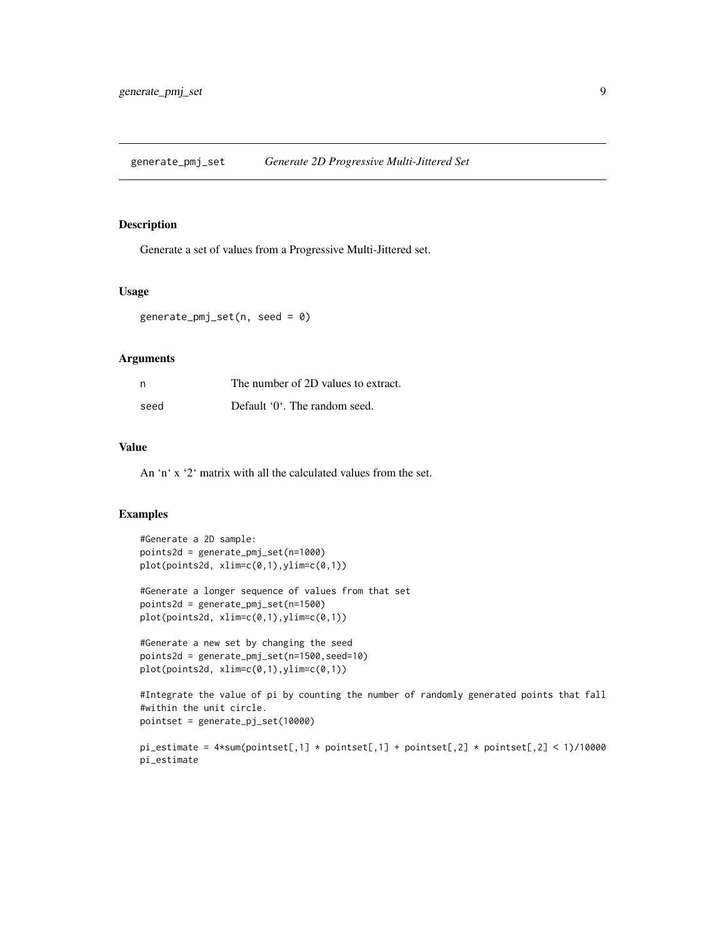<span id="page-8-0"></span>generate\_pmj\_set *Generate 2D Progressive Multi-Jittered Set*

#### Description

Generate a set of values from a Progressive Multi-Jittered set.

#### Usage

generate\_pmj\_set(n, seed = 0)

## Arguments

| n    | The number of 2D values to extract. |
|------|-------------------------------------|
| seed | Default '0'. The random seed.       |

#### Value

An 'n' x '2' matrix with all the calculated values from the set.

## Examples

pi\_estimate

```
#Generate a 2D sample:
points2d = generate_pmj_set(n=1000)
plot(points2d, xlim=c(0,1),ylim=c(0,1))
#Generate a longer sequence of values from that set
points2d = generate_pmj_set(n=1500)
plot(points2d, xlim=c(0,1),ylim=c(0,1))
#Generate a new set by changing the seed
points2d = generate_pmj_set(n=1500,seed=10)
plot(points2d, xlim=c(0,1),ylim=c(0,1))
#Integrate the value of pi by counting the number of randomly generated points that fall
#within the unit circle.
pointset = generate_pj_set(10000)
pi_estimate = 4*sum(pointset[,1] * pointset[,1] + pointset[,2] * pointset[,2] * pointset[,3]
```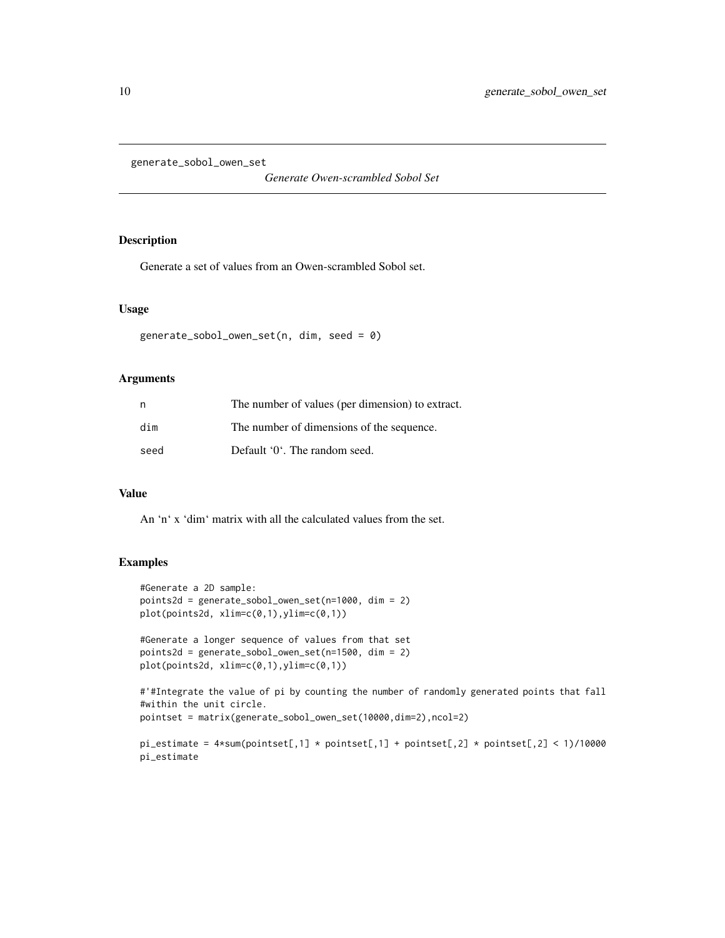<span id="page-9-0"></span>generate\_sobol\_owen\_set

*Generate Owen-scrambled Sobol Set*

## Description

Generate a set of values from an Owen-scrambled Sobol set.

#### Usage

```
generate_sobol_owen_set(n, dim, seed = 0)
```
## Arguments

| n    | The number of values (per dimension) to extract. |
|------|--------------------------------------------------|
| dim  | The number of dimensions of the sequence.        |
| seed | Default '0'. The random seed.                    |

#### Value

An 'n' x 'dim' matrix with all the calculated values from the set.

```
#Generate a 2D sample:
points2d = generate_sobol_owen_set(n=1000, dim = 2)
plot(points2d, xlim=c(0,1),ylim=c(0,1))
#Generate a longer sequence of values from that set
points2d = generate_sobol_owen_set(n=1500, dim = 2)
plot(points2d, xlim=c(0,1),ylim=c(0,1))
#'#Integrate the value of pi by counting the number of randomly generated points that fall
#within the unit circle.
pointset = matrix(generate_sobol_owen_set(10000,dim=2),ncol=2)
pi_estimate = 4*sum(pointset[, 1] * pointsset[, 1] + pointset[, 2] * pointset[, 2] < 1)/10000pi_estimate
```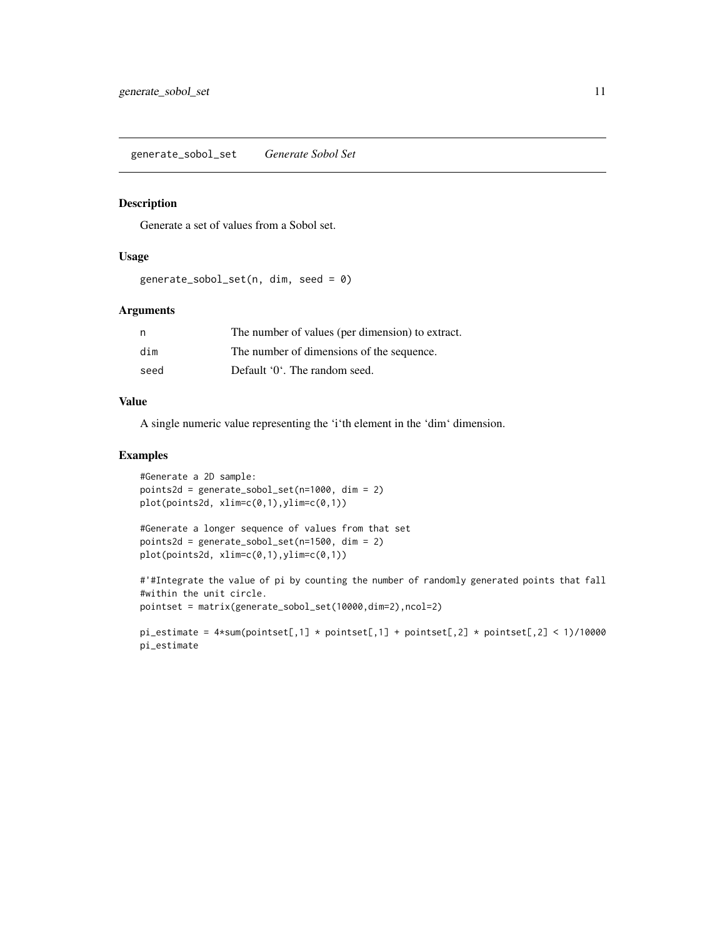## <span id="page-10-0"></span>Description

Generate a set of values from a Sobol set.

#### Usage

```
generate_sobol_set(n, dim, seed = 0)
```
## Arguments

| n    | The number of values (per dimension) to extract. |
|------|--------------------------------------------------|
| dim  | The number of dimensions of the sequence.        |
| seed | Default '0'. The random seed.                    |

## Value

A single numeric value representing the 'i'th element in the 'dim' dimension.

```
#Generate a 2D sample:
points2d = generate_sobol_set(n=1000, dim = 2)
plot(points2d, xlim=c(0,1),ylim=c(0,1))
```

```
#Generate a longer sequence of values from that set
points2d = generate_sobol_set(n=1500, dim = 2)
plot(points2d, xlim=c(0,1),ylim=c(0,1))
```

```
#'#Integrate the value of pi by counting the number of randomly generated points that fall
#within the unit circle.
pointset = matrix(generate_sobol_set(10000,dim=2),ncol=2)
```

```
pi_estimate = 4*sum(pointset[, 1] * pointsset[, 1] + pointset[, 2] * pointset[, 2] < 1/10000
pi_estimate
```